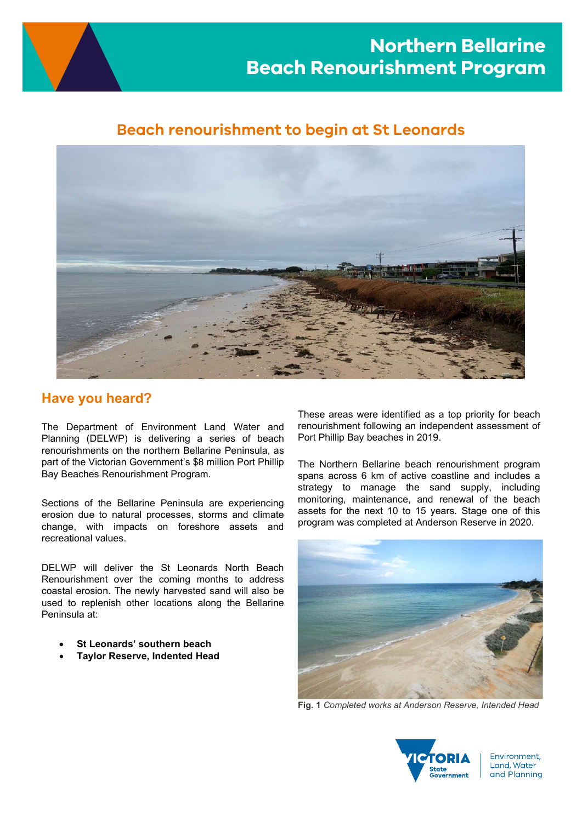

# Beach renourishment to begin at St Leonards



# Have you heard?

The Department of Environment Land Water and Planning (DELWP) is delivering a series of beach renourishments on the northern Bellarine Peninsula, as part of the Victorian Government's \$8 million Port Phillip Bay Beaches Renourishment Program.

Sections of the Bellarine Peninsula are experiencing erosion due to natural processes, storms and climate change, with impacts on foreshore assets and recreational values.

DELWP will deliver the St Leonards North Beach Renourishment over the coming months to address coastal erosion. The newly harvested sand will also be used to replenish other locations along the Bellarine Peninsula at:

- St Leonards' southern beach
- Taylor Reserve, Indented Head

These areas were identified as a top priority for beach renourishment following an independent assessment of Port Phillip Bay beaches in 2019.

The Northern Bellarine beach renourishment program spans across 6 km of active coastline and includes a strategy to manage the sand supply, including monitoring, maintenance, and renewal of the beach assets for the next 10 to 15 years. Stage one of this program was completed at Anderson Reserve in 2020.



Fig. 1 Completed works at Anderson Reserve, Intended Head



Environment. Land, Water and Planning